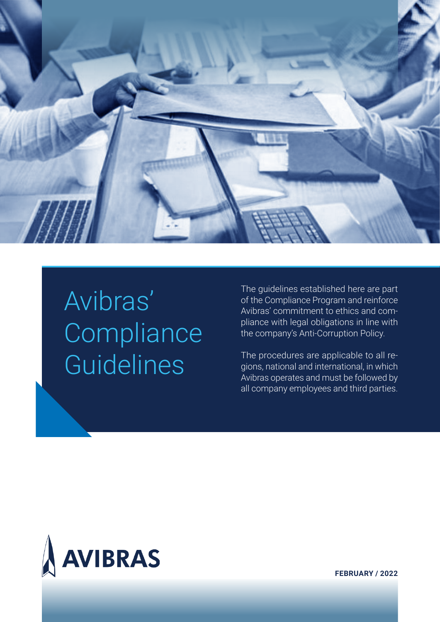

# Avibras' **Compliance Guidelines**

The guidelines established here are part of the Compliance Program and reinforce Avibras' commitment to ethics and compliance with legal obligations in line with the company's Anti-Corruption Policy.

The procedures are applicable to all regions, national and international, in which Avibras operates and must be followed by all company employees and third parties.



**FEBRUARY / 2022**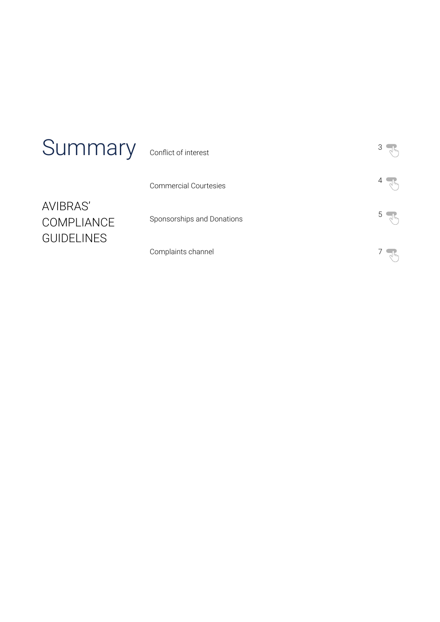| Summary                                                   | Conflict of interest         |  |
|-----------------------------------------------------------|------------------------------|--|
| <b>AVIBRAS'</b><br><b>COMPLIANCE</b><br><b>GUIDELINES</b> | <b>Commercial Courtesies</b> |  |
|                                                           | Sponsorships and Donations   |  |
|                                                           | Complaints channel           |  |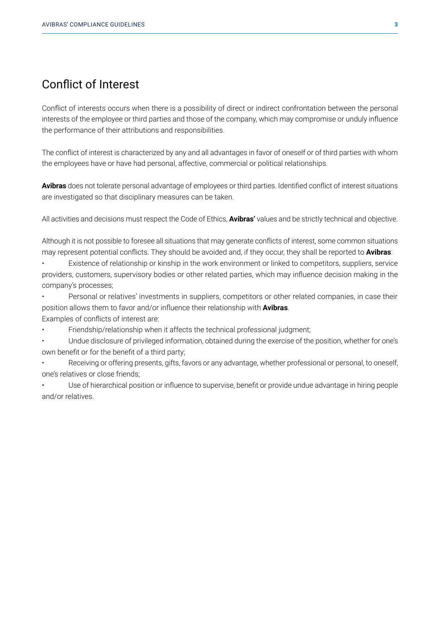## <span id="page-2-0"></span>Conflict of Interest

Conflict of interests occurs when there is a possibility of direct or indirect confrontation between the personal interests of the employee or third parties and those of the company, which may compromise or unduly influence the performance of their attributions and responsibilities.

The conflict of interest is characterized by any and all advantages in favor of oneself or of third parties with whom the employees have or have had personal, affective, commercial or political relationships.

**Avibras** does not tolerate personal advantage of employees or third parties. Identified conflict of interest situations are investigated so that disciplinary measures can be taken.

All activities and decisions must respect the Code of Ethics, **Avibras'** values and be strictly technical and objective.

Although it is not possible to foresee all situations that may generate conflicts of interest, some common situations may represent potential conflicts. They should be avoided and, if they occur, they shall be reported to **Avibras**:

• Existence of relationship or kinship in the work environment or linked to competitors, suppliers, service providers, customers, supervisory bodies or other related parties, which may influence decision making in the company's processes;

• Personal or relatives' investments in suppliers, competitors or other related companies, in case their position allows them to favor and/or influence their relationship with **Avibras**.

Examples of conflicts of interest are:

• Friendship/relationship when it affects the technical professional judgment;

• Undue disclosure of privileged information, obtained during the exercise of the position, whether for one's own benefit or for the benefit of a third party;

• Receiving or offering presents, gifts, favors or any advantage, whether professional or personal, to oneself, one's relatives or close friends;

• Use of hierarchical position or influence to supervise, benefit or provide undue advantage in hiring people and/or relatives.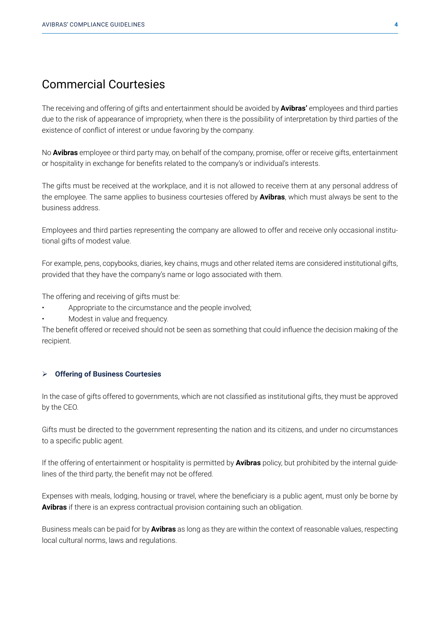## <span id="page-3-0"></span>Commercial Courtesies

The receiving and offering of gifts and entertainment should be avoided by **Avibras'** employees and third parties due to the risk of appearance of impropriety, when there is the possibility of interpretation by third parties of the existence of conflict of interest or undue favoring by the company.

No **Avibras** employee or third party may, on behalf of the company, promise, offer or receive gifts, entertainment or hospitality in exchange for benefits related to the company's or individual's interests.

The gifts must be received at the workplace, and it is not allowed to receive them at any personal address of the employee. The same applies to business courtesies offered by **Avibras**, which must always be sent to the business address.

Employees and third parties representing the company are allowed to offer and receive only occasional institutional gifts of modest value.

For example, pens, copybooks, diaries, key chains, mugs and other related items are considered institutional gifts, provided that they have the company's name or logo associated with them.

The offering and receiving of gifts must be:

- Appropriate to the circumstance and the people involved;
- Modest in value and frequency.

The benefit offered or received should not be seen as something that could influence the decision making of the recipient.

#### Ø **Offering of Business Courtesies**

In the case of gifts offered to governments, which are not classified as institutional gifts, they must be approved by the CEO.

Gifts must be directed to the government representing the nation and its citizens, and under no circumstances to a specific public agent.

If the offering of entertainment or hospitality is permitted by **Avibras** policy, but prohibited by the internal guidelines of the third party, the benefit may not be offered.

Expenses with meals, lodging, housing or travel, where the beneficiary is a public agent, must only be borne by **Avibras** if there is an express contractual provision containing such an obligation.

Business meals can be paid for by **Avibras** as long as they are within the context of reasonable values, respecting local cultural norms, laws and regulations.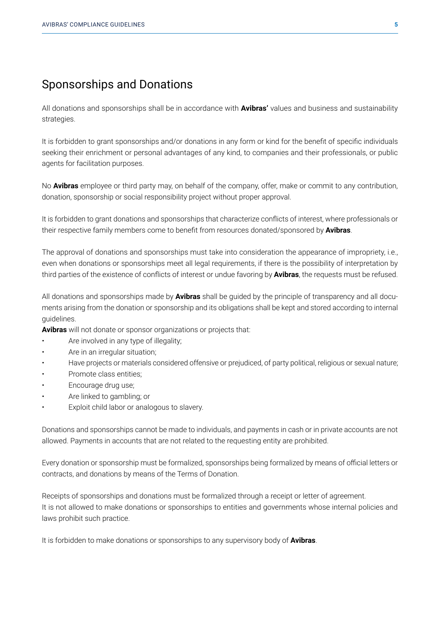## <span id="page-4-0"></span>Sponsorships and Donations

All donations and sponsorships shall be in accordance with **Avibras'** values and business and sustainability strategies.

It is forbidden to grant sponsorships and/or donations in any form or kind for the benefit of specific individuals seeking their enrichment or personal advantages of any kind, to companies and their professionals, or public agents for facilitation purposes.

No **Avibras** employee or third party may, on behalf of the company, offer, make or commit to any contribution, donation, sponsorship or social responsibility project without proper approval.

It is forbidden to grant donations and sponsorships that characterize conflicts of interest, where professionals or their respective family members come to benefit from resources donated/sponsored by **Avibras**.

The approval of donations and sponsorships must take into consideration the appearance of impropriety, i.e., even when donations or sponsorships meet all legal requirements, if there is the possibility of interpretation by third parties of the existence of conflicts of interest or undue favoring by **Avibras**, the requests must be refused.

All donations and sponsorships made by **Avibras** shall be guided by the principle of transparency and all documents arising from the donation or sponsorship and its obligations shall be kept and stored according to internal guidelines.

**Avibras** will not donate or sponsor organizations or projects that:

- Are involved in any type of illegality;
- Are in an irregular situation:
- Have projects or materials considered offensive or prejudiced, of party political, religious or sexual nature;
- Promote class entities:
- Encourage drug use;
- Are linked to gambling; or
- Exploit child labor or analogous to slavery.

Donations and sponsorships cannot be made to individuals, and payments in cash or in private accounts are not allowed. Payments in accounts that are not related to the requesting entity are prohibited.

Every donation or sponsorship must be formalized, sponsorships being formalized by means of official letters or contracts, and donations by means of the Terms of Donation.

Receipts of sponsorships and donations must be formalized through a receipt or letter of agreement. It is not allowed to make donations or sponsorships to entities and governments whose internal policies and laws prohibit such practice.

It is forbidden to make donations or sponsorships to any supervisory body of **Avibras**.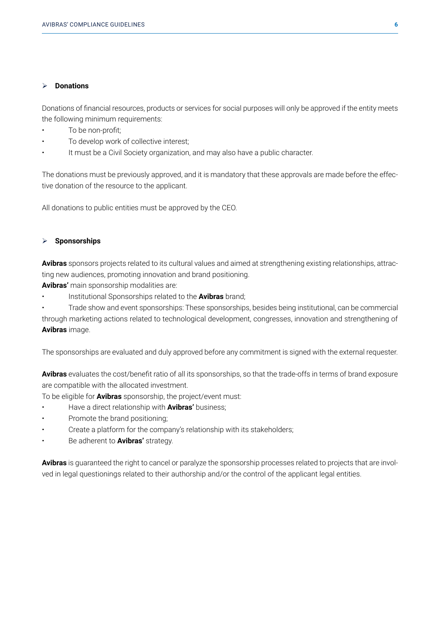### Ø **Donations**

Donations of financial resources, products or services for social purposes will only be approved if the entity meets the following minimum requirements:

- To be non-profit;
- To develop work of collective interest;
- It must be a Civil Society organization, and may also have a public character.

The donations must be previously approved, and it is mandatory that these approvals are made before the effective donation of the resource to the applicant.

All donations to public entities must be approved by the CEO.

### Ø **Sponsorships**

**Avibras** sponsors projects related to its cultural values and aimed at strengthening existing relationships, attracting new audiences, promoting innovation and brand positioning.

**Avibras'** main sponsorship modalities are:

• Institutional Sponsorships related to the **Avibras** brand;

• Trade show and event sponsorships: These sponsorships, besides being institutional, can be commercial through marketing actions related to technological development, congresses, innovation and strengthening of **Avibras** image.

The sponsorships are evaluated and duly approved before any commitment is signed with the external requester.

**Avibras** evaluates the cost/benefit ratio of all its sponsorships, so that the trade-offs in terms of brand exposure are compatible with the allocated investment.

To be eligible for **Avibras** sponsorship, the project/event must:

- Have a direct relationship with **Avibras'** business;
- Promote the brand positioning;
- Create a platform for the company's relationship with its stakeholders;
- Be adherent to **Avibras'** strategy.

**Avibras** is guaranteed the right to cancel or paralyze the sponsorship processes related to projects that are involved in legal questionings related to their authorship and/or the control of the applicant legal entities.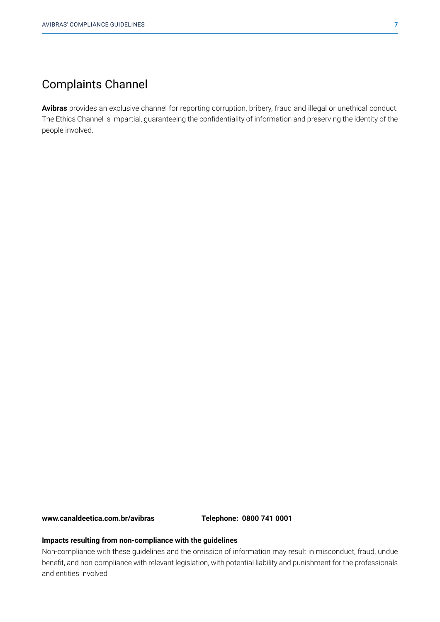## <span id="page-6-0"></span>Complaints Channel

**Avibras** provides an exclusive channel for reporting corruption, bribery, fraud and illegal or unethical conduct. The Ethics Channel is impartial, guaranteeing the confidentiality of information and preserving the identity of the people involved.

**www.canaldeetica.com.br/avibras Telephone: 0800 741 0001**

#### **Impacts resulting from non-compliance with the guidelines**

Non-compliance with these guidelines and the omission of information may result in misconduct, fraud, undue benefit, and non-compliance with relevant legislation, with potential liability and punishment for the professionals and entities involved